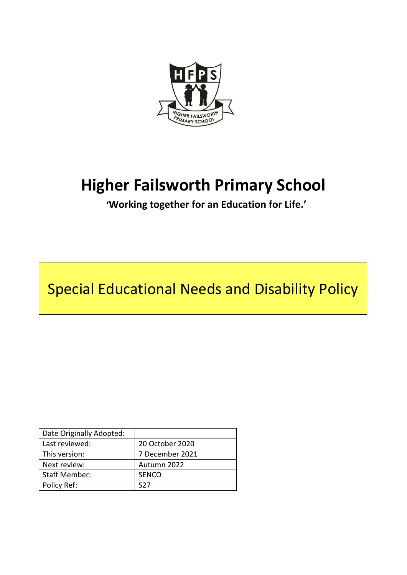

# **Higher Failsworth Primary School**

**'Working together for an Education for Life.'**

Special Educational Needs and Disability Policy

| Date Originally Adopted: |                 |
|--------------------------|-----------------|
| Last reviewed:           | 20 October 2020 |
| This version:            | 7 December 2021 |
| Next review:             | Autumn 2022     |
| <b>Staff Member:</b>     | <b>SENCO</b>    |
| Policy Ref:              | 577             |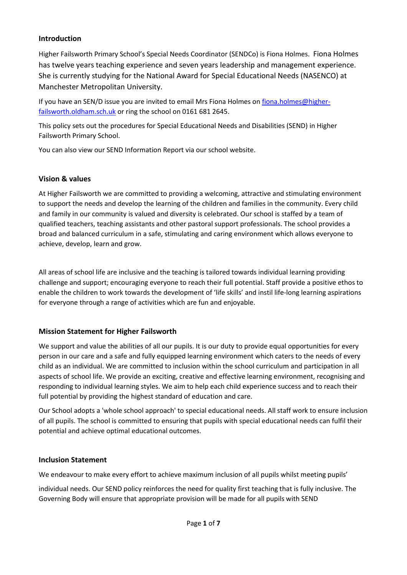## **Introduction**

Higher Failsworth Primary School's Special Needs Coordinator (SENDCo) is Fiona Holmes. Fiona Holmes has twelve years teaching experience and seven years leadership and management experience. She is currently studying for the National Award for Special Educational Needs (NASENCO) at Manchester Metropolitan University.

If you have an SEN/D issue you are invited to email Mrs Fiona Holmes on [fiona.holmes@higher](mailto:fiona.holmes@higher-failsworth.oldham.sch.uk)[failsworth.oldham.sch.uk](mailto:fiona.holmes@higher-failsworth.oldham.sch.uk) or ring the school on 0161 681 2645.

This policy sets out the procedures for Special Educational Needs and Disabilities (SEND) in Higher Failsworth Primary School.

You can also view our SEND Information Report via our school website.

# **Vision & values**

At Higher Failsworth we are committed to providing a welcoming, attractive and stimulating environment to support the needs and develop the learning of the children and families in the community. Every child and family in our community is valued and diversity is celebrated. Our school is staffed by a team of qualified teachers, teaching assistants and other pastoral support professionals. The school provides a broad and balanced curriculum in a safe, stimulating and caring environment which allows everyone to achieve, develop, learn and grow.

All areas of school life are inclusive and the teaching is tailored towards individual learning providing challenge and support; encouraging everyone to reach their full potential. Staff provide a positive ethos to enable the children to work towards the development of 'life skills' and instil life-long learning aspirations for everyone through a range of activities which are fun and enjoyable.

# **Mission Statement for Higher Failsworth**

We support and value the abilities of all our pupils. It is our duty to provide equal opportunities for every person in our care and a safe and fully equipped learning environment which caters to the needs of every child as an individual. We are committed to inclusion within the school curriculum and participation in all aspects of school life. We provide an exciting, creative and effective learning environment, recognising and responding to individual learning styles. We aim to help each child experience success and to reach their full potential by providing the highest standard of education and care.

Our School adopts a 'whole school approach' to special educational needs. All staff work to ensure inclusion of all pupils. The school is committed to ensuring that pupils with special educational needs can fulfil their potential and achieve optimal educational outcomes.

#### **Inclusion Statement**

We endeavour to make every effort to achieve maximum inclusion of all pupils whilst meeting pupils'

individual needs. Our SEND policy reinforces the need for quality first teaching that is fully inclusive. The Governing Body will ensure that appropriate provision will be made for all pupils with SEND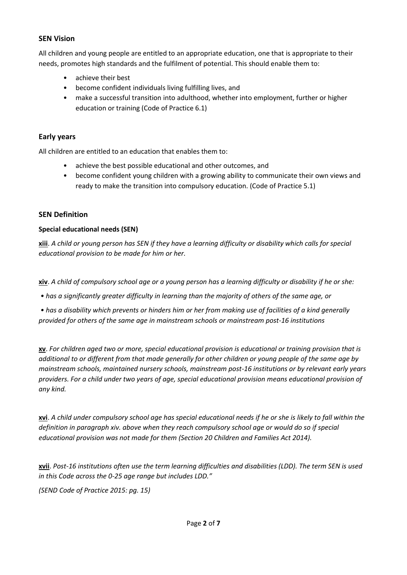#### **SEN Vision**

All children and young people are entitled to an appropriate education, one that is appropriate to their needs, promotes high standards and the fulfilment of potential. This should enable them to:

- achieve their best
- become confident individuals living fulfilling lives, and
- make a successful transition into adulthood, whether into employment, further or higher education or training (Code of Practice 6.1)

#### **Early years**

All children are entitled to an education that enables them to:

- achieve the best possible educational and other outcomes, and
- become confident young children with a growing ability to communicate their own views and ready to make the transition into compulsory education. (Code of Practice 5.1)

#### **SEN Definition**

#### **Special educational needs (SEN)**

**xiii**. *A child or young person has SEN if they have a learning difficulty or disability which calls for special educational provision to be made for him or her.* 

**xiv**. *A child of compulsory school age or a young person has a learning difficulty or disability if he or she:* 

*• has a significantly greater difficulty in learning than the majority of others of the same age, or*

*• has a disability which prevents or hinders him or her from making use of facilities of a kind generally provided for others of the same age in mainstream schools or mainstream post-16 institutions*

**xv**. *For children aged two or more, special educational provision is educational or training provision that is additional to or different from that made generally for other children or young people of the same age by mainstream schools, maintained nursery schools, mainstream post-16 institutions or by relevant early years providers. For a child under two years of age, special educational provision means educational provision of any kind.* 

**xvi**. *A child under compulsory school age has special educational needs if he or she is likely to fall within the definition in paragraph xiv. above when they reach compulsory school age or would do so if special educational provision was not made for them (Section 20 Children and Families Act 2014).* 

**xvii**. *Post-16 institutions often use the term learning difficulties and disabilities (LDD). The term SEN is used in this Code across the 0-25 age range but includes LDD."*

*(SEND Code of Practice 2015: pg. 15)*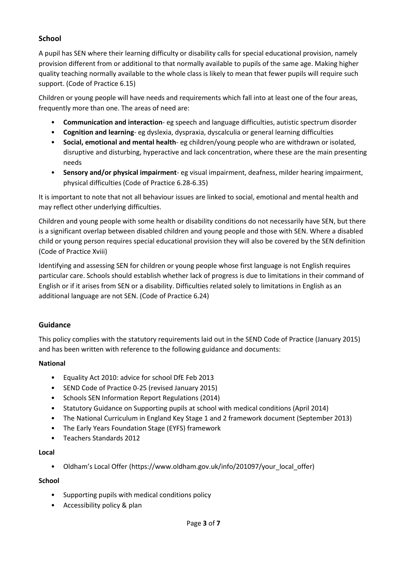# **School**

A pupil has SEN where their learning difficulty or disability calls for special educational provision, namely provision different from or additional to that normally available to pupils of the same age. Making higher quality teaching normally available to the whole class is likely to mean that fewer pupils will require such support. (Code of Practice 6.15)

Children or young people will have needs and requirements which fall into at least one of the four areas, frequently more than one. The areas of need are:

- **Communication and interaction** eg speech and language difficulties, autistic spectrum disorder
- **Cognition and learning** eg dyslexia, dyspraxia, dyscalculia or general learning difficulties
- **Social, emotional and mental health** eg children/young people who are withdrawn or isolated, disruptive and disturbing, hyperactive and lack concentration, where these are the main presenting needs
- **Sensory and/or physical impairment** eg visual impairment, deafness, milder hearing impairment, physical difficulties (Code of Practice 6.28-6.35)

It is important to note that not all behaviour issues are linked to social, emotional and mental health and may reflect other underlying difficulties.

Children and young people with some health or disability conditions do not necessarily have SEN, but there is a significant overlap between disabled children and young people and those with SEN. Where a disabled child or young person requires special educational provision they will also be covered by the SEN definition (Code of Practice Xviii)

Identifying and assessing SEN for children or young people whose first language is not English requires particular care. Schools should establish whether lack of progress is due to limitations in their command of English or if it arises from SEN or a disability. Difficulties related solely to limitations in English as an additional language are not SEN. (Code of Practice 6.24)

# **Guidance**

This policy complies with the statutory requirements laid out in the SEND Code of Practice (January 2015) and has been written with reference to the following guidance and documents:

# **National**

- Equality Act 2010: advice for school DfE Feb 2013
- SEND Code of Practice 0-25 (revised January 2015)
- Schools SEN Information Report Regulations (2014)
- Statutory Guidance on Supporting pupils at school with medical conditions (April 2014)
- The National Curriculum in England Key Stage 1 and 2 framework document (September 2013)
- The Early Years Foundation Stage (EYFS) framework
- Teachers Standards 2012

#### **Local**

• Oldham's Local Offer (https://www.oldham.gov.uk/info/201097/your local offer)

#### **School**

- Supporting pupils with medical conditions policy
- Accessibility policy & plan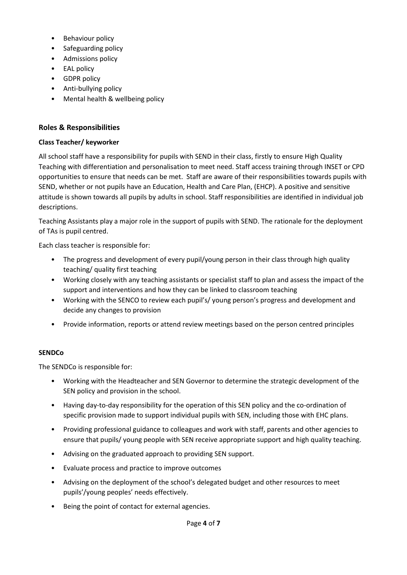- Behaviour policy
- Safeguarding policy
- Admissions policy
- EAL policy
- GDPR policy
- Anti-bullying policy
- Mental health & wellbeing policy

# **Roles & Responsibilities**

## **Class Teacher/ keyworker**

All school staff have a responsibility for pupils with SEND in their class, firstly to ensure High Quality Teaching with differentiation and personalisation to meet need. Staff access training through INSET or CPD opportunities to ensure that needs can be met. Staff are aware of their responsibilities towards pupils with SEND, whether or not pupils have an Education, Health and Care Plan, (EHCP). A positive and sensitive attitude is shown towards all pupils by adults in school. Staff responsibilities are identified in individual job descriptions.

Teaching Assistants play a major role in the support of pupils with SEND. The rationale for the deployment of TAs is pupil centred.

Each class teacher is responsible for:

- The progress and development of every pupil/young person in their class through high quality teaching/ quality first teaching
- Working closely with any teaching assistants or specialist staff to plan and assess the impact of the support and interventions and how they can be linked to classroom teaching
- Working with the SENCO to review each pupil's/ young person's progress and development and decide any changes to provision
- Provide information, reports or attend review meetings based on the person centred principles

# **SENDCo**

The SENDCo is responsible for:

- Working with the Headteacher and SEN Governor to determine the strategic development of the SEN policy and provision in the school.
- Having day-to-day responsibility for the operation of this SEN policy and the co-ordination of specific provision made to support individual pupils with SEN, including those with EHC plans.
- Providing professional guidance to colleagues and work with staff, parents and other agencies to ensure that pupils/ young people with SEN receive appropriate support and high quality teaching.
- Advising on the graduated approach to providing SEN support.
- Evaluate process and practice to improve outcomes
- Advising on the deployment of the school's delegated budget and other resources to meet pupils'/young peoples' needs effectively.
- Being the point of contact for external agencies.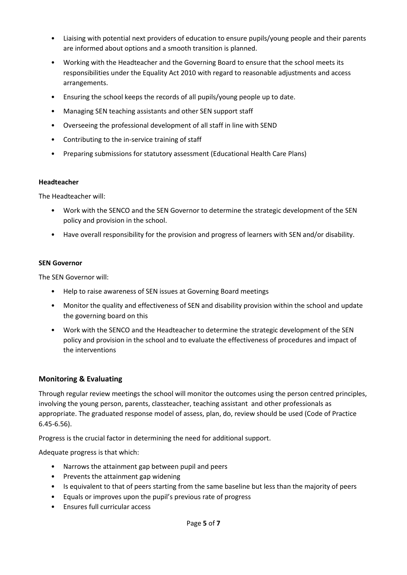- Liaising with potential next providers of education to ensure pupils/young people and their parents are informed about options and a smooth transition is planned.
- Working with the Headteacher and the Governing Board to ensure that the school meets its responsibilities under the Equality Act 2010 with regard to reasonable adjustments and access arrangements.
- Ensuring the school keeps the records of all pupils/young people up to date.
- Managing SEN teaching assistants and other SEN support staff
- Overseeing the professional development of all staff in line with SEND
- Contributing to the in-service training of staff
- Preparing submissions for statutory assessment (Educational Health Care Plans)

#### **Headteacher**

The Headteacher will:

- Work with the SENCO and the SEN Governor to determine the strategic development of the SEN policy and provision in the school.
- Have overall responsibility for the provision and progress of learners with SEN and/or disability.

#### **SEN Governor**

The SEN Governor will:

- Help to raise awareness of SEN issues at Governing Board meetings
- Monitor the quality and effectiveness of SEN and disability provision within the school and update the governing board on this
- Work with the SENCO and the Headteacher to determine the strategic development of the SEN policy and provision in the school and to evaluate the effectiveness of procedures and impact of the interventions

#### **Monitoring & Evaluating**

Through regular review meetings the school will monitor the outcomes using the person centred principles, involving the young person, parents, classteacher, teaching assistant and other professionals as appropriate. The graduated response model of assess, plan, do, review should be used (Code of Practice 6.45-6.56).

Progress is the crucial factor in determining the need for additional support.

Adequate progress is that which:

- Narrows the attainment gap between pupil and peers
- Prevents the attainment gap widening
- Is equivalent to that of peers starting from the same baseline but less than the majority of peers
- Equals or improves upon the pupil's previous rate of progress
- Ensures full curricular access